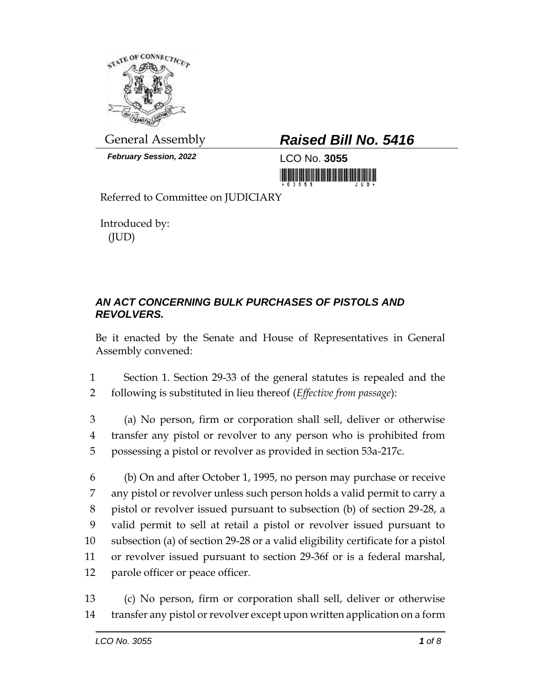

*February Session, 2022* LCO No. **3055**

## General Assembly *Raised Bill No. 5416*

<u> III din masarakat kalendari dan masarakat di sebagai din dan bagi dan bagi dan bagi dan bagi dan bagi dan ba</u>

Referred to Committee on JUDICIARY

Introduced by: (JUD)

## *AN ACT CONCERNING BULK PURCHASES OF PISTOLS AND REVOLVERS.*

Be it enacted by the Senate and House of Representatives in General Assembly convened:

1 Section 1. Section 29-33 of the general statutes is repealed and the 2 following is substituted in lieu thereof (*Effective from passage*):

3 (a) No person, firm or corporation shall sell, deliver or otherwise 4 transfer any pistol or revolver to any person who is prohibited from 5 possessing a pistol or revolver as provided in section 53a-217c.

 (b) On and after October 1, 1995, no person may purchase or receive any pistol or revolver unless such person holds a valid permit to carry a pistol or revolver issued pursuant to subsection (b) of section 29-28, a valid permit to sell at retail a pistol or revolver issued pursuant to subsection (a) of section 29-28 or a valid eligibility certificate for a pistol or revolver issued pursuant to section 29-36f or is a federal marshal, parole officer or peace officer.

13 (c) No person, firm or corporation shall sell, deliver or otherwise 14 transfer any pistol or revolver except upon written application on a form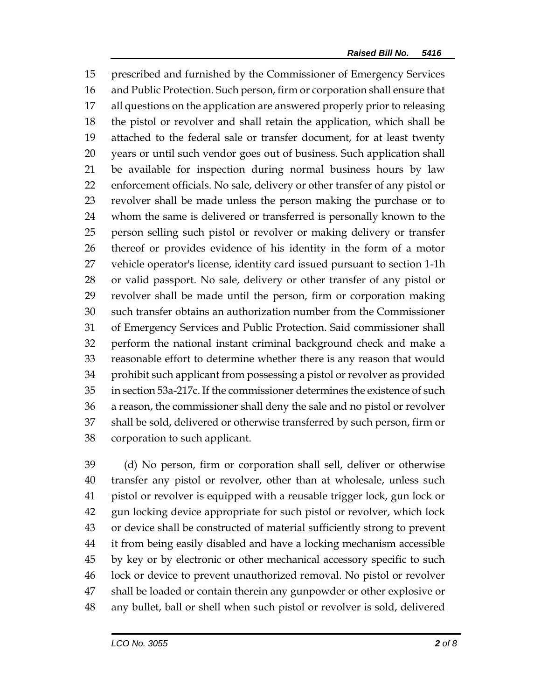prescribed and furnished by the Commissioner of Emergency Services and Public Protection. Such person, firm or corporation shall ensure that all questions on the application are answered properly prior to releasing the pistol or revolver and shall retain the application, which shall be attached to the federal sale or transfer document, for at least twenty years or until such vendor goes out of business. Such application shall be available for inspection during normal business hours by law enforcement officials. No sale, delivery or other transfer of any pistol or revolver shall be made unless the person making the purchase or to whom the same is delivered or transferred is personally known to the person selling such pistol or revolver or making delivery or transfer thereof or provides evidence of his identity in the form of a motor vehicle operator's license, identity card issued pursuant to section 1-1h or valid passport. No sale, delivery or other transfer of any pistol or revolver shall be made until the person, firm or corporation making such transfer obtains an authorization number from the Commissioner of Emergency Services and Public Protection. Said commissioner shall perform the national instant criminal background check and make a reasonable effort to determine whether there is any reason that would prohibit such applicant from possessing a pistol or revolver as provided in section 53a-217c. If the commissioner determines the existence of such a reason, the commissioner shall deny the sale and no pistol or revolver shall be sold, delivered or otherwise transferred by such person, firm or corporation to such applicant.

 (d) No person, firm or corporation shall sell, deliver or otherwise transfer any pistol or revolver, other than at wholesale, unless such pistol or revolver is equipped with a reusable trigger lock, gun lock or gun locking device appropriate for such pistol or revolver, which lock or device shall be constructed of material sufficiently strong to prevent it from being easily disabled and have a locking mechanism accessible by key or by electronic or other mechanical accessory specific to such lock or device to prevent unauthorized removal. No pistol or revolver shall be loaded or contain therein any gunpowder or other explosive or any bullet, ball or shell when such pistol or revolver is sold, delivered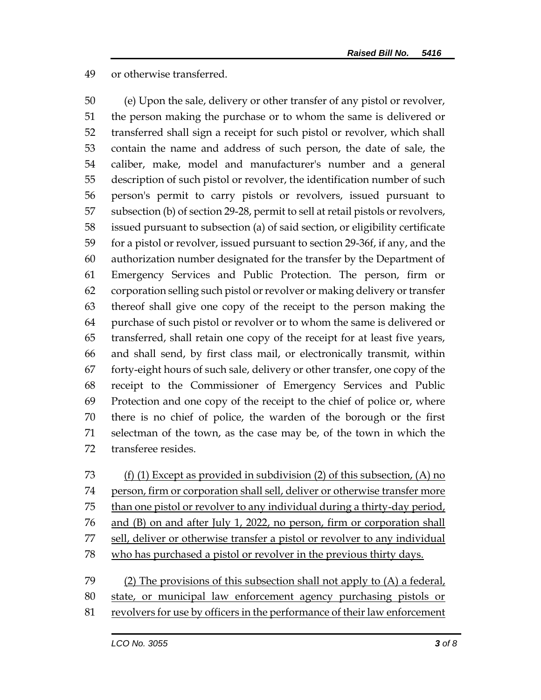## or otherwise transferred.

 (e) Upon the sale, delivery or other transfer of any pistol or revolver, the person making the purchase or to whom the same is delivered or transferred shall sign a receipt for such pistol or revolver, which shall contain the name and address of such person, the date of sale, the caliber, make, model and manufacturer's number and a general description of such pistol or revolver, the identification number of such person's permit to carry pistols or revolvers, issued pursuant to subsection (b) of section 29-28, permit to sell at retail pistols or revolvers, issued pursuant to subsection (a) of said section, or eligibility certificate for a pistol or revolver, issued pursuant to section 29-36f, if any, and the authorization number designated for the transfer by the Department of Emergency Services and Public Protection. The person, firm or corporation selling such pistol or revolver or making delivery or transfer thereof shall give one copy of the receipt to the person making the purchase of such pistol or revolver or to whom the same is delivered or transferred, shall retain one copy of the receipt for at least five years, and shall send, by first class mail, or electronically transmit, within forty-eight hours of such sale, delivery or other transfer, one copy of the receipt to the Commissioner of Emergency Services and Public Protection and one copy of the receipt to the chief of police or, where there is no chief of police, the warden of the borough or the first selectman of the town, as the case may be, of the town in which the transferee resides.



revolvers for use by officers in the performance of their law enforcement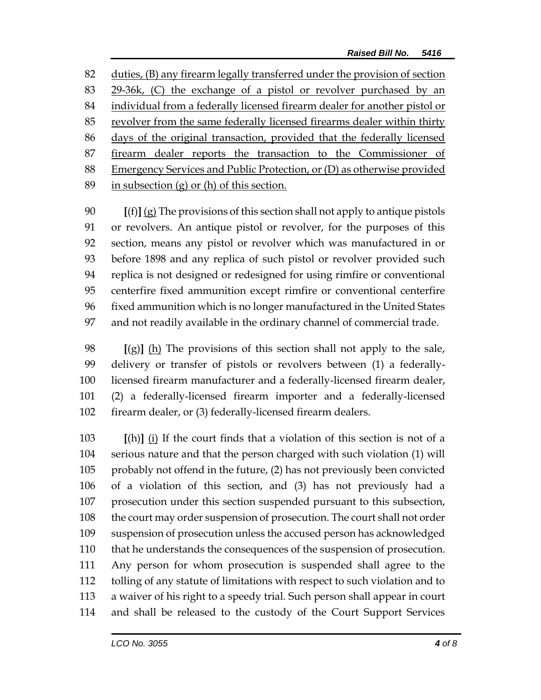duties, (B) any firearm legally transferred under the provision of section 29-36k, (C) the exchange of a pistol or revolver purchased by an individual from a federally licensed firearm dealer for another pistol or revolver from the same federally licensed firearms dealer within thirty 86 days of the original transaction, provided that the federally licensed firearm dealer reports the transaction to the Commissioner of Emergency Services and Public Protection, or (D) as otherwise provided 89 in subsection  $(g)$  or  $(h)$  of this section.

 **[**(f)**]** (g) The provisions of this section shall not apply to antique pistols or revolvers. An antique pistol or revolver, for the purposes of this section, means any pistol or revolver which was manufactured in or before 1898 and any replica of such pistol or revolver provided such replica is not designed or redesigned for using rimfire or conventional centerfire fixed ammunition except rimfire or conventional centerfire fixed ammunition which is no longer manufactured in the United States and not readily available in the ordinary channel of commercial trade.

 **[**(g)**]** (h) The provisions of this section shall not apply to the sale, delivery or transfer of pistols or revolvers between (1) a federally- licensed firearm manufacturer and a federally-licensed firearm dealer, (2) a federally-licensed firearm importer and a federally-licensed firearm dealer, or (3) federally-licensed firearm dealers.

 **[**(h)**]** (i) If the court finds that a violation of this section is not of a serious nature and that the person charged with such violation (1) will probably not offend in the future, (2) has not previously been convicted of a violation of this section, and (3) has not previously had a prosecution under this section suspended pursuant to this subsection, the court may order suspension of prosecution. The court shall not order suspension of prosecution unless the accused person has acknowledged that he understands the consequences of the suspension of prosecution. Any person for whom prosecution is suspended shall agree to the tolling of any statute of limitations with respect to such violation and to a waiver of his right to a speedy trial. Such person shall appear in court and shall be released to the custody of the Court Support Services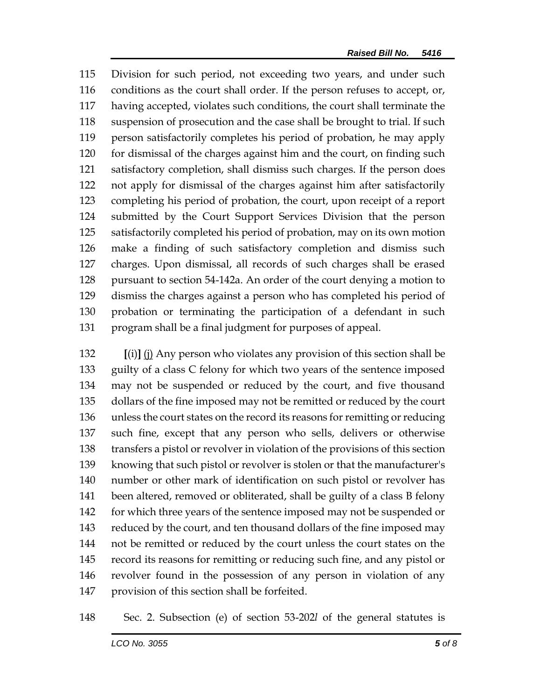Division for such period, not exceeding two years, and under such conditions as the court shall order. If the person refuses to accept, or, having accepted, violates such conditions, the court shall terminate the suspension of prosecution and the case shall be brought to trial. If such person satisfactorily completes his period of probation, he may apply for dismissal of the charges against him and the court, on finding such satisfactory completion, shall dismiss such charges. If the person does not apply for dismissal of the charges against him after satisfactorily completing his period of probation, the court, upon receipt of a report submitted by the Court Support Services Division that the person satisfactorily completed his period of probation, may on its own motion make a finding of such satisfactory completion and dismiss such charges. Upon dismissal, all records of such charges shall be erased pursuant to section 54-142a. An order of the court denying a motion to dismiss the charges against a person who has completed his period of probation or terminating the participation of a defendant in such program shall be a final judgment for purposes of appeal.

 **[**(i)**]** (j) Any person who violates any provision of this section shall be guilty of a class C felony for which two years of the sentence imposed may not be suspended or reduced by the court, and five thousand dollars of the fine imposed may not be remitted or reduced by the court unless the court states on the record its reasons for remitting or reducing such fine, except that any person who sells, delivers or otherwise transfers a pistol or revolver in violation of the provisions of this section knowing that such pistol or revolver is stolen or that the manufacturer's number or other mark of identification on such pistol or revolver has been altered, removed or obliterated, shall be guilty of a class B felony for which three years of the sentence imposed may not be suspended or reduced by the court, and ten thousand dollars of the fine imposed may not be remitted or reduced by the court unless the court states on the record its reasons for remitting or reducing such fine, and any pistol or revolver found in the possession of any person in violation of any provision of this section shall be forfeited.

Sec. 2. Subsection (e) of section 53-202*l* of the general statutes is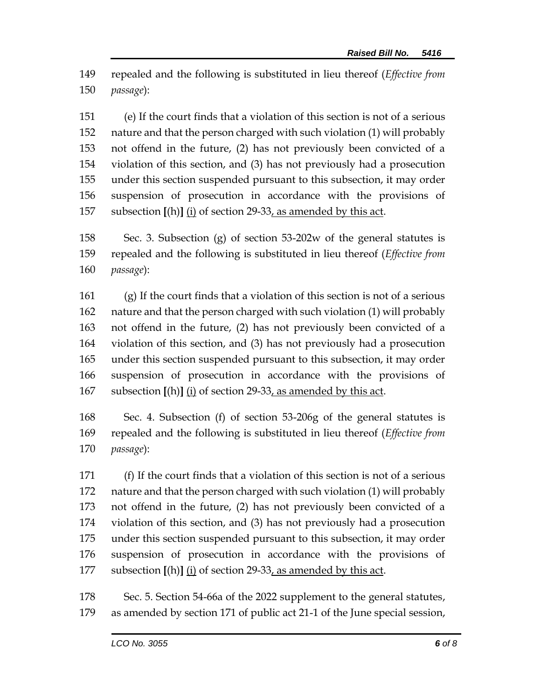repealed and the following is substituted in lieu thereof (*Effective from passage*):

 (e) If the court finds that a violation of this section is not of a serious nature and that the person charged with such violation (1) will probably not offend in the future, (2) has not previously been convicted of a violation of this section, and (3) has not previously had a prosecution under this section suspended pursuant to this subsection, it may order suspension of prosecution in accordance with the provisions of subsection **[**(h)**]** (i) of section 29-33, as amended by this act.

 Sec. 3. Subsection (g) of section 53-202w of the general statutes is repealed and the following is substituted in lieu thereof (*Effective from passage*):

 (g) If the court finds that a violation of this section is not of a serious nature and that the person charged with such violation (1) will probably not offend in the future, (2) has not previously been convicted of a violation of this section, and (3) has not previously had a prosecution under this section suspended pursuant to this subsection, it may order suspension of prosecution in accordance with the provisions of subsection **[**(h)**]** (i) of section 29-33, as amended by this act.

 Sec. 4. Subsection (f) of section 53-206g of the general statutes is repealed and the following is substituted in lieu thereof (*Effective from passage*):

 (f) If the court finds that a violation of this section is not of a serious nature and that the person charged with such violation (1) will probably not offend in the future, (2) has not previously been convicted of a violation of this section, and (3) has not previously had a prosecution under this section suspended pursuant to this subsection, it may order suspension of prosecution in accordance with the provisions of subsection **[**(h)**]** (i) of section 29-33, as amended by this act.

 Sec. 5. Section 54-66a of the 2022 supplement to the general statutes, as amended by section 171 of public act 21-1 of the June special session,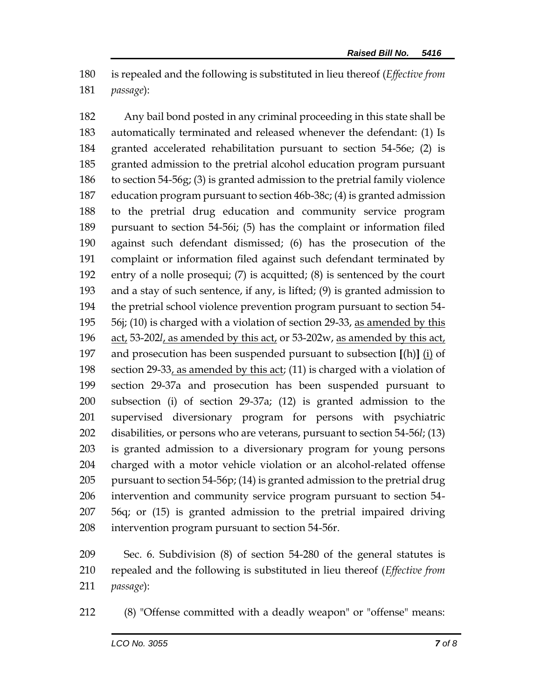is repealed and the following is substituted in lieu thereof (*Effective from passage*):

 Any bail bond posted in any criminal proceeding in this state shall be automatically terminated and released whenever the defendant: (1) Is granted accelerated rehabilitation pursuant to section 54-56e; (2) is granted admission to the pretrial alcohol education program pursuant to section 54-56g; (3) is granted admission to the pretrial family violence education program pursuant to section 46b-38c; (4) is granted admission to the pretrial drug education and community service program pursuant to section 54-56i; (5) has the complaint or information filed against such defendant dismissed; (6) has the prosecution of the complaint or information filed against such defendant terminated by entry of a nolle prosequi; (7) is acquitted; (8) is sentenced by the court and a stay of such sentence, if any, is lifted; (9) is granted admission to the pretrial school violence prevention program pursuant to section 54- 56j; (10) is charged with a violation of section 29-33, as amended by this act, 53-202*l*, as amended by this act, or 53-202w, as amended by this act, and prosecution has been suspended pursuant to subsection **[**(h)**]** (i) of section 29-33, as amended by this act; (11) is charged with a violation of section 29-37a and prosecution has been suspended pursuant to subsection (i) of section 29-37a; (12) is granted admission to the supervised diversionary program for persons with psychiatric disabilities, or persons who are veterans, pursuant to section 54-56*l*; (13) is granted admission to a diversionary program for young persons charged with a motor vehicle violation or an alcohol-related offense pursuant to section 54-56p; (14) is granted admission to the pretrial drug intervention and community service program pursuant to section 54- 56q; or (15) is granted admission to the pretrial impaired driving intervention program pursuant to section 54-56r.

 Sec. 6. Subdivision (8) of section 54-280 of the general statutes is repealed and the following is substituted in lieu thereof (*Effective from passage*):

(8) "Offense committed with a deadly weapon" or "offense" means: